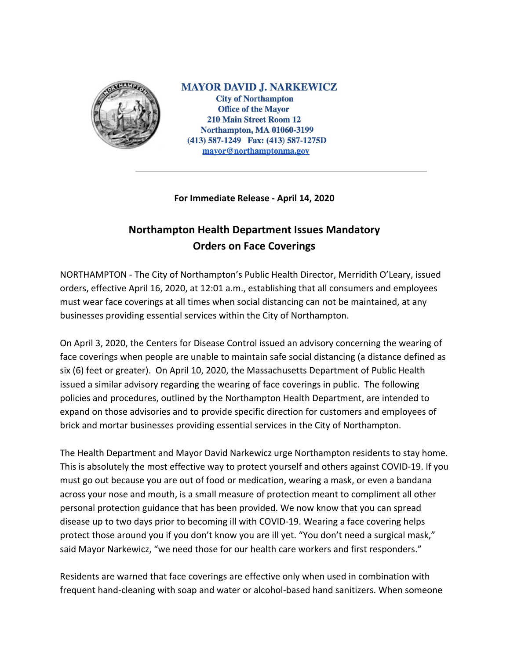

**MAYOR DAVID J. NARKEWICZ City of Northampton Office of the Mayor** 210 Main Street Room 12 **Northampton, MA 01060-3199**  $(413)$  587-1249 Fax:  $(413)$  587-1275D mayor@northamptonma.gov

## **For Immediate Release - April 14, 2020**

## **Northampton Health Department Issues Mandatory Orders on Face Coverings**

NORTHAMPTON - The City of Northampton's Public Health Director, Merridith O'Leary, issued orders, effective April 16, 2020, at 12:01 a.m., establishing that all consumers and employees must wear face coverings at all times when social distancing can not be maintained, at any businesses providing essential services within the City of Northampton.

On April 3, 2020, the Centers for Disease Control issued an advisory concerning the wearing of face coverings when people are unable to maintain safe social distancing (a distance defined as six (6) feet or greater). On April 10, 2020, the Massachusetts Department of Public Health issued a similar advisory regarding the wearing of face coverings in public. The following policies and procedures, outlined by the Northampton Health Department, are intended to expand on those advisories and to provide specific direction for customers and employees of brick and mortar businesses providing essential services in the City of Northampton.

The Health Department and Mayor David Narkewicz urge Northampton residents to stay home. This is absolutely the most effective way to protect yourself and others against COVID-19. If you must go out because you are out of food or medication, wearing a mask, or even a bandana across your nose and mouth, is a small measure of protection meant to compliment all other personal protection guidance that has been provided. We now know that you can spread disease up to two days prior to becoming ill with COVID-19. Wearing a face covering helps protect those around you if you don't know you are ill yet. "You don't need a surgical mask," said Mayor Narkewicz, "we need those for our health care workers and first responders."

Residents are warned that face coverings are effective only when used in combination with frequent hand-cleaning with soap and water or alcohol-based hand sanitizers. When someone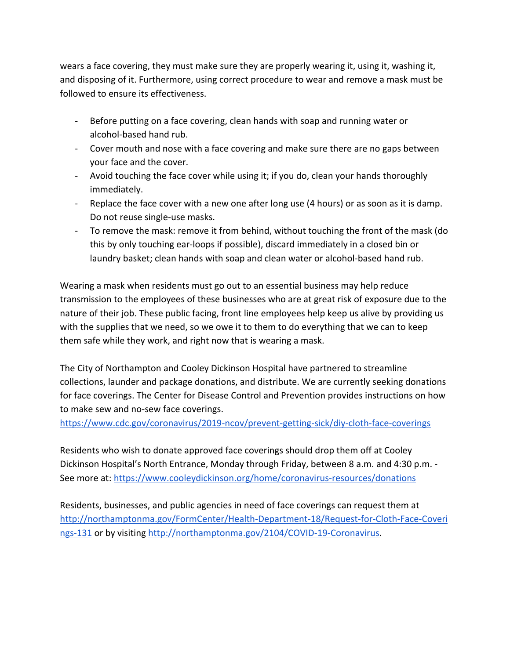wears a face covering, they must make sure they are properly wearing it, using it, washing it, and disposing of it. Furthermore, using correct procedure to wear and remove a mask must be followed to ensure its effectiveness.

- Before putting on a face covering, clean hands with soap and running water or alcohol-based hand rub.
- Cover mouth and nose with a face covering and make sure there are no gaps between your face and the cover.
- Avoid touching the face cover while using it; if you do, clean your hands thoroughly immediately.
- Replace the face cover with a new one after long use (4 hours) or as soon as it is damp. Do not reuse single-use masks.
- To remove the mask: remove it from behind, without touching the front of the mask (do this by only touching ear-loops if possible), discard immediately in a closed bin or laundry basket; clean hands with soap and clean water or alcohol-based hand rub.

Wearing a mask when residents must go out to an essential business may help reduce transmission to the employees of these businesses who are at great risk of exposure due to the nature of their job. These public facing, front line employees help keep us alive by providing us with the supplies that we need, so we owe it to them to do everything that we can to keep them safe while they work, and right now that is wearing a mask.

The City of Northampton and Cooley Dickinson Hospital have partnered to streamline collections, launder and package donations, and distribute. We are currently seeking donations for face coverings. The Center for Disease Control and Prevention provides instructions on how to make sew and no-sew face coverings.

<https://www.cdc.gov/coronavirus/2019-ncov/prevent-getting-sick/diy-cloth-face-coverings>

Residents who wish to donate approved face coverings should drop them off at Cooley Dickinson Hospital's North Entrance, Monday through Friday, between 8 a.m. and 4:30 p.m. - See more at:<https://www.cooleydickinson.org/home/coronavirus-resources/donations>

Residents, businesses, and public agencies in need of face coverings can request them at [http://northamptonma.gov/FormCenter/Health-Department-18/Request-for-Cloth-Face-Coveri](http://northamptonma.gov/FormCenter/Health-Department-18/Request-for-Cloth-Face-Coverings-131) [ngs-131](http://northamptonma.gov/FormCenter/Health-Department-18/Request-for-Cloth-Face-Coverings-131) or by visiting [http://northamptonma.gov/2104/COVID-19-Coronavirus.](http://northamptonma.gov/2104/COVID-19-Coronavirus)